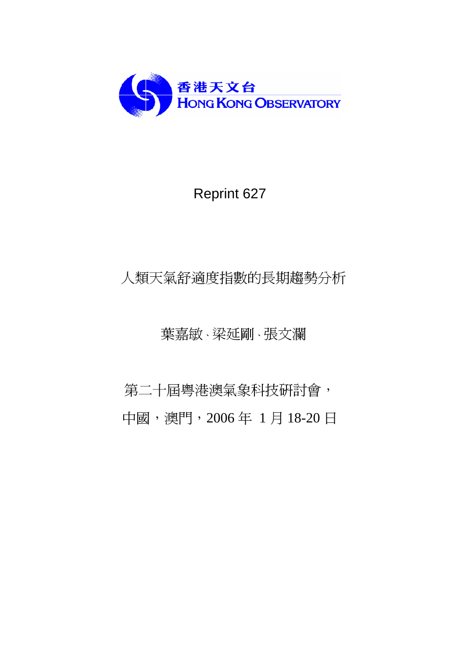

# Reprint 627

# 人類天氣舒適度指數的長期趨勢分析

## 葉嘉敏、梁延剛、張文瀾

第二十屆粵港澳氣象科技研討會, 中國,澳門,2006 年 1 月 18-20 日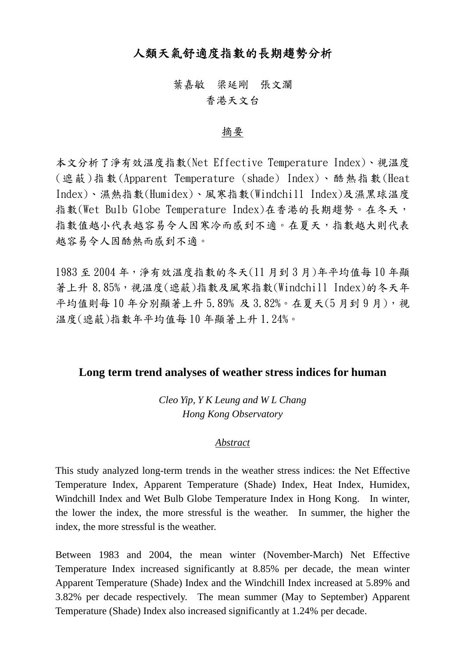## 人類天氣舒適度指數的長期趨勢分析

## 葉嘉敏 梁延剛 張文瀾

## 香港天文台

#### 摘要

本文分析了淨有效温度指數(Net Effective Temperature Index)、視温度 (遮蔽 )指數 (Apparent Temperature (shade) Index)、酷熱指數 (Heat Index)、濕熱指數(Humidex)、風寒指數(Windchill Index)及濕黑球温度 指數(Wet Bulb Globe Temperature Index)在香港的長期趨勢。在冬天, 指數值越小代表越容易令人因寒冷而感到不適。在夏天,指數越大則代表 越容易令人因酷熱而感到不適。

1983 至 2004 年,淨有效温度指數的冬天(11 月到 3 月)年平均值每 10 年顯 著上升 8.85%,視温度(遮蔽)指數及風寒指數(Windchill Index)的冬天年 平均值則每10年分別顯著上升 5.89% 及 3.82%。在夏天(5月到9月),視 温度(遮蔽)指數年平均值每 10 年顯著上升 1.24%。

#### **Long term trend analyses of weather stress indices for human**

*Cleo Yip, Y K Leung and W L Chang Hong Kong Observatory* 

#### *Abstract*

This study analyzed long-term trends in the weather stress indices: the Net Effective Temperature Index, Apparent Temperature (Shade) Index, Heat Index, Humidex, Windchill Index and Wet Bulb Globe Temperature Index in Hong Kong. In winter, the lower the index, the more stressful is the weather. In summer, the higher the index, the more stressful is the weather.

Between 1983 and 2004, the mean winter (November-March) Net Effective Temperature Index increased significantly at 8.85% per decade, the mean winter Apparent Temperature (Shade) Index and the Windchill Index increased at 5.89% and 3.82% per decade respectively. The mean summer (May to September) Apparent Temperature (Shade) Index also increased significantly at 1.24% per decade.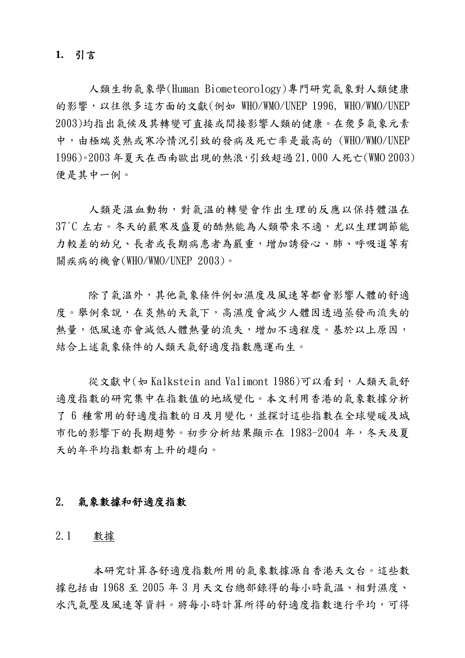#### **1.** 引言

人類生物氣象學(Human Biometeorology)專門研究氣象對人類健康 的影響,以往很多這方面的文獻(例如 WHO/WMO/UNEP 1996, WHO/WMO/UNEP 2003)均指出氣候及其轉變可直接或間接影響人類的健康。在衆多氣象元素 中,由極端炎熱或寒冷情況引致的發病及死亡率是最高的 (WHO/WMO/UNEP 1996)。2003 年夏天在西南歐出現的熱浪,引致超過 21,000 人死亡(WMO 2003) 便是其中一例。

人類是温血動物,對氣温的轉變會作出生理的反應以保持體温在 37℃ 左右。冬天的嚴寒及感夏的酷熱能為人類帶來不適,尤以生理調節能 力較差的幼兒、長者或長期病患者為嚴重,增加誘發心、肺、呼吸道等有 關疾病的機會(WHO/WMO/UNEP 2003)。

除了氣温外,其他氣象條件例如濕度及風速等都會影響人體的舒適 度。舉例來說,在炎熱的天氣下,高濕度會減少人體因透過蒸發而流失的 熱量,低風速亦會減低人體熱量的流失,增加不適程度。基於以上原因, 結合上述氣象條件的人類天氣舒適度指數應運而生。

從文獻中(如 Kalkstein and Valimont 1986)可以看到,人類天氣舒 適度指數的研究集中在指數值的地域變化。本文利用香港的氣象數據分析 了 6 種常用的舒適度指數的日及月變化,並探討這些指數在全球變暖及城 市化的影響下的長期趨勢。初步分析結果顯示在 1983-2004 年,冬天及夏 天的年平均指數都有上升的趨向。

#### 2. 氣象數據和舒適度指數

#### 2.1 數據

本研究計算各舒適度指數所用的氣象數據源自香港天文台。這些數 據包括由 1968 至 2005 年 3 月天文台總部錄得的每小時氣温、相對濕度、 水汽氣壓及風速等資料。將每小時計算所得的舒適度指數進行平均,可得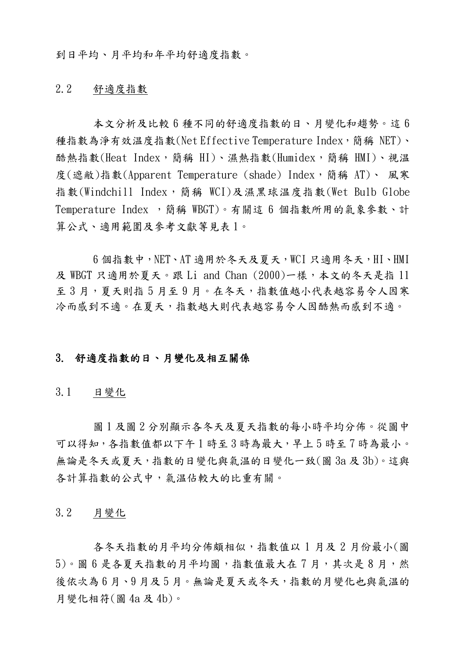到日平均、月平均和年平均舒適度指數。

#### 2.2 舒適度指數

 本文分析及比較 6 種不同的舒適度指數的日、月變化和趨勢。這 6 種指數為淨有效温度指數(Net Effective Temperature Index,簡稱 NET)、 酷熱指數(Heat Index,简稱 HI)、濕熱指數(Humidex,簡稱 HMI)、視温 度(遮敝)指數(Apparent Temperature (shade) Index,簡稱 AT)、 風寒 指數(Windchill Index,簡稱 WCI)及濕黑球温度指數(Wet Bulb Globe Temperature Index ,簡稱 WBGT)。有關這 6 個指數所用的氣象參數、計 算公式、適用範圍及參考文獻等見表 1。

6 個指數中,NET、AT 適用於冬天及夏天,WCI 只適用冬天,HI、HMI 及 WBGT 只適用於夏天。跟 Li and Chan (2000)一樣,本文的冬天是指 11 至3月,夏天則指5月至9月。在冬天,指數值越小代表越容易令人因寒 冷而感到不適。在夏天,指數越大則代表越容易令人因酷熱而感到不適。

#### 3. 舒適度指數的日、月變化及相互關係

3.1 日變化

圖 1 及圖 2 分別顯示各冬天及夏天指數的每小時平均分佈。從圖中 可以得知,各指數值都以下午1時至3時為最大,早上5時至7時為最小。 無論是冬天或夏天,指數的日變化與氣温的日變化一致(圖 3a 及 3b)。這與 各計算指數的公式中,氣温佔較大的比重有關。

3.2 月變化

各冬天指數的月平均分佈頗相似,指數值以 1 月及 2 月份最小(圖 5)。圖 6 是各夏天指數的月平均圖,指數值最大在7月,其次是8月,然 後依次為6月、9月及5月。無論是夏天或冬天,指數的月變化也與氣温的 月變化相符(圖 4a 及 4b)。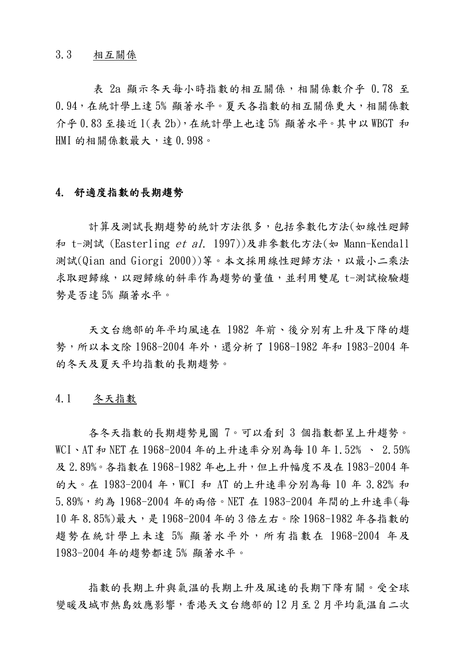3.3 相互關係

表 2a 顯示冬天每小時指數的相互關係,相關係數介乎 0.78 至 0.94,在統計學上達 5% 顯著水平。夏天各指數的相互關係更大,相關係數 介乎 0.83 至接近 1(表 2b),在統計學上也達 5% 顯著水平。其中以 WBGT 和 HMI 的相關係數最大,達 0.998。

#### 4. 舒適度指數的長期趨勢

計算及測試長期趨勢的統計方法很多,包括參數化方法(如線性廻歸 和 t-測試 (Easterling et al. 1997))及非參數化方法(如 Mann-Kendall 測試(Qian and Giorgi 2000))等。本文採用線性廻歸方法,以最小二乘法 求取廻歸線,以廻歸線的斜率作為趨勢的量值,並利用雙尾 t-測試檢驗趨 勢是否達 5% 顯著水平。

天文台總部的年平均風速在 1982 年前、後分別有上升及下降的趨 勢,所以本文除 1968-2004 年外,還分析了 1968-1982 年和 1983-2004 年 的冬天及夏天平均指數的長期趨勢。

#### 4.1 冬天指數

各冬天指數的長期趨勢見圖 7。可以看到 3 個指數都呈上升趨勢。 WCI、AT 和 NET 在 1968-2004 年的上升速率分別為每 10 年 1.52% 、 2.59% 及 2.89%。各指數在 1968-1982 年也上升,但上升幅度不及在 1983-2004 年 的大。在 1983-2004 年, WCI 和 AT 的上升速率分別為每 10 年 3.82% 和 5.89%,約為 1968-2004 年的兩倍。NET 在 1983-2004 年間的上升速率(每 10 年 8.85%)最大,是 1968-2004 年的 3 倍左右。除 1968-1982 年各指數的 趨勢在統計學上未達 5% 顯著水平外,所有指數在 1968-2004 年及 1983-2004 年的趨勢都達 5% 顯著水平。

指數的長期上升與氣温的長期上升及風速的長期下降有關。受全球 變暖及城巿熱島效應影響,香港天文台總部的 12 月至 2 月平均氣温自二次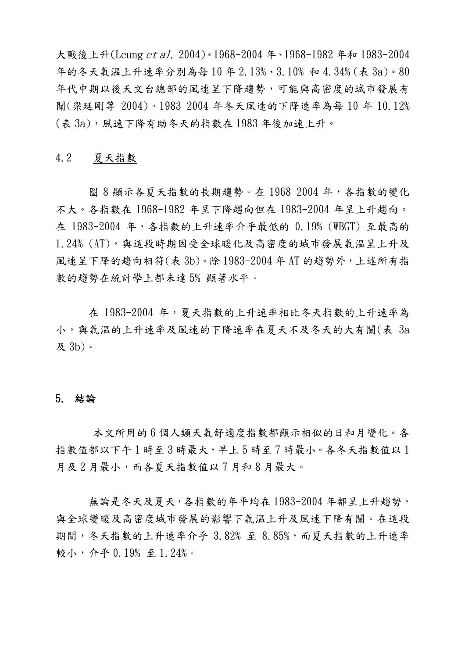大戰後上升(Leung *et al.* 2004)。1968-2004 年、1968-1982 年和 1983-2004 年的冬天氣温上升速率分別為每 10 年 2.13%、3.10% 和 4.34% (表 3a)。80 年代中期以後天文台總部的風速呈下降趨勢,可能與高密度的城巿發展有 關(梁延剛等 2004)。1983-2004 年冬天風速的下降速率為每 10 年 10.12% (表 3a),風速下降有助冬天的指數在 1983 年後加速上升。

#### 4.2 夏天指數

圖 8 顯示各夏天指數的長期趨勢。在 1968-2004 年,各指數的變化 不大。各指數在 1968-1982 年呈下降趨向但在 1983-2004 年呈上升趨向。 在 1983-2004 年,各指數的上升速率介乎最低的 0.19% (WBGT) 至最高的 1.24% (AT),與這段時期因受全球暖化及高密度的城市發展氣溫呈上升及 風速呈下降的趨向相符(表 3b)。除 1983-2004 年 AT 的趨勢外, 上述所有指 數的趨勢在統計學上都未達 5% 顯著水平。

在 1983-2004 年,夏天指數的上升速率相比冬天指數的上升速率為 小,與氣温的上升速率及風速的下降速率在夏天不及冬天的大有關(表 3a 及 3b)。

#### 5. 結論

本文所用的 6 個人類天氣舒適度指數都顯示相似的日和月變化。各 指數值都以下午1時至3時最大,早上5時至7時最小。各冬天指數值以1 月及 2 月最小,而各夏天指數值以 7 月和 8 月最大。

無論是冬天及夏天,各指數的年平均在 1983-2004 年都呈上升趨勢, 與全球變暖及高密度城市發展的影響下氣温上升及風速下降有關。在這段 期間,冬天指數的上升速率介乎 3.82% 至 8.85%,而夏天指數的上升速率 較小,介乎 0.19% 至 1.24%。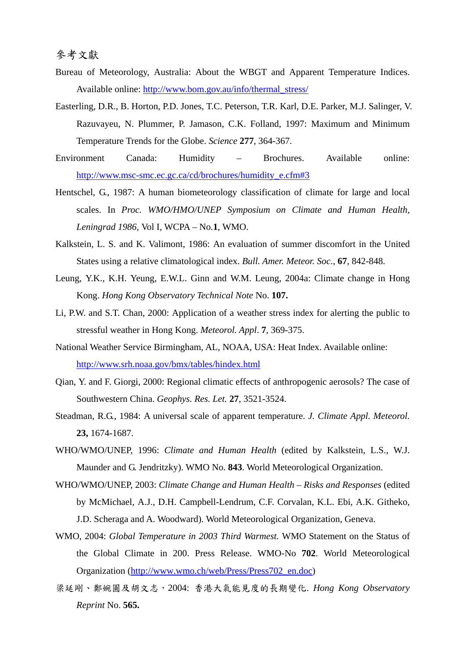- Bureau of Meteorology, Australia: About the WBGT and Apparent Temperature Indices. Available online: http://www.bom.gov.au/info/thermal\_stress/
- Easterling, D.R., B. Horton, P.D. Jones, T.C. Peterson, T.R. Karl, D.E. Parker, M.J. Salinger, V. Razuvayeu, N. Plummer, P. Jamason, C.K. Folland, 1997: Maximum and Minimum Temperature Trends for the Globe. *Science* **277**, 364-367.
- Environment Canada: Humidity Brochures. Available online: http://www.msc-smc.ec.gc.ca/cd/brochures/humidity\_e.cfm#3
- Hentschel, G., 1987: A human biometeorology classification of climate for large and local scales. In *Proc. WMO/HMO/UNEP Symposium on Climate and Human Health, Leningrad 1986,* Vol I, WCPA – No.**1**, WMO.
- Kalkstein, L. S. and K. Valimont, 1986: An evaluation of summer discomfort in the United States using a relative climatological index. *Bull. Amer. Meteor. Soc*., **67**, 842-848.
- Leung, Y.K., K.H. Yeung, E.W.L. Ginn and W.M. Leung, 2004a: Climate change in Hong Kong. *Hong Kong Observatory Technical Note* No. **107.**
- Li, P.W. and S.T. Chan, 2000: Application of a weather stress index for alerting the public to stressful weather in Hong Kong. *Meteorol. Appl*. **7**, 369-375.
- National Weather Service Birmingham, AL, NOAA, USA: Heat Index. Available online: http://www.srh.noaa.gov/bmx/tables/hindex.html
- Qian, Y. and F. Giorgi, 2000: Regional climatic effects of anthropogenic aerosols? The case of Southwestern China. *Geophys. Res. Let.* **27**, 3521-3524.
- Steadman, R.G., 1984: A universal scale of apparent temperature. *J. Climate Appl. Meteorol.* **23,** 1674-1687.
- WHO/WMO/UNEP, 1996: *Climate and Human Health* (edited by Kalkstein, L.S., W.J. Maunder and G. Jendritzky). WMO No. **843**. World Meteorological Organization.
- WHO/WMO/UNEP, 2003: *Climate Change and Human Health Risks and Responses* (edited by McMichael, A.J., D.H. Campbell-Lendrum, C.F. Corvalan, K.L. Ebi, A.K. Githeko, J.D. Scheraga and A. Woodward). World Meteorological Organization, Geneva.
- WMO, 2004: *Global Temperature in 2003 Third Warmest.* WMO Statement on the Status of the Global Climate in 200. Press Release. WMO-No **702**. World Meteorological Organization (http://www.wmo.ch/web/Press/Press702\_en.doc)
- 梁延剛、鄭婉圓及胡文志,2004: 香港大氣能見度的長期變化. *Hong Kong Observatory Reprint* No. **565.**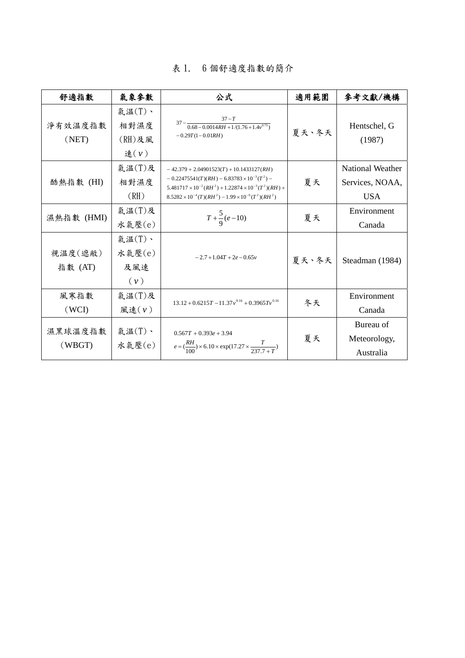| 舒適指數               | 氣象參數                                   | 公式                                                                                                                                                                                                                                               | 適用範圍  | 參考文獻/機構                                                  |
|--------------------|----------------------------------------|--------------------------------------------------------------------------------------------------------------------------------------------------------------------------------------------------------------------------------------------------|-------|----------------------------------------------------------|
| 淨有效温度指數<br>(NET)   | 氣温(T)、<br>相對濕度<br>$(RH)$ 及風<br>速 $(v)$ | $37 - \frac{37 - T}{0.68 - 0.0014RH + 1/(1.76 + 1.4v^{0.75})}$<br>$-0.29T(1 - 0.01RH)$                                                                                                                                                           | 夏天、冬天 | Hentschel, G<br>(1987)                                   |
| 酷熱指數 (HI)          | 氣温(T)及<br>相對濕度<br>(RH)                 | $-42.379 + 2.04901523(T) + 10.1433127(RH)$<br>$-0.22475541(T)(RH) - 6.83783 \times 10^{-3}(T^2) -$<br>$5.481717 \times 10^{-2} (RH^2) + 1.22874 \times 10^{-3} (T^2)(RH) +$<br>$8.5282 \times 10^{-4}(T)(RH^2) - 1.99 \times 10^{-6}(T^2)(RH^2)$ | 夏天    | <b>National Weather</b><br>Services, NOAA,<br><b>USA</b> |
| 濕熱指數 (HMI)         | 氣温(T)及<br>水氣壓(e)                       | $T + \frac{5}{9}(e-10)$                                                                                                                                                                                                                          | 夏天    | Environment<br>Canada                                    |
| 視温度(遮敝)<br>指數 (AT) | 氣温(T)、<br>水氣壓(e)<br>及風速<br>(v)         | $-2.7+1.04T+2e-0.65y$                                                                                                                                                                                                                            | 夏天、冬天 | Steadman (1984)                                          |
| 風寒指數<br>(WCI)      | 氣温(T)及<br>風速(v)                        | $13.12 + 0.6215T - 11.37v^{0.16} + 0.3965Tv^{0.16}$                                                                                                                                                                                              | 冬天    | Environment<br>Canada                                    |
| 濕黑球溫度指數<br>(WBGT)  | 氣温 $(T)$ 、<br>水氣壓(e)                   | $0.567T + 0.393e + 3.94$<br>$e = (\frac{RH}{100}) \times 6.10 \times \exp(17.27 \times \frac{T}{237.7 + T})$                                                                                                                                     | 夏天    | Bureau of<br>Meteorology,<br>Australia                   |

### 表 1. 6 個舒適度指數的簡介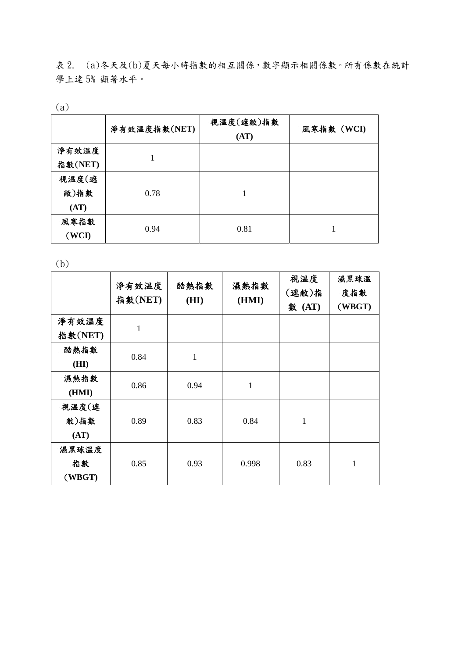表 2. (a)冬天及(b)夏天每小時指數的相互關係,數字顯示相關係數。所有係數在統計 學上逹 5% 顯著水平。

(a)

|         | 淨有效温度指數(NET) | 視温度(遮敝)指數<br>(AT) | 風寒指數 (WCI) |
|---------|--------------|-------------------|------------|
| 淨有效温度   |              |                   |            |
| 指數(NET) |              |                   |            |
| 視温度(遮   |              |                   |            |
| 敝)指數    | 0.78         |                   |            |
| (AT)    |              |                   |            |
| 風寒指數    |              | 0.81              |            |
| (WCI)   | 0.94         |                   |            |

(b)

|                       | 淨有效温度<br>指數(NET) | 酷熱指數<br>(HI) | 濕熱指數<br>(HMI) | 視温度<br>(遮敝)指<br>數 (AT) | 濕黑球溫<br>度指數<br>(WBGT) |
|-----------------------|------------------|--------------|---------------|------------------------|-----------------------|
| 淨有效温度<br>指數(NET)      | 1                |              |               |                        |                       |
| 酷熱指數<br>(HI)          | 0.84             | $\mathbf{1}$ |               |                        |                       |
| 濕熱指數<br>(HMI)         | 0.86             | 0.94         | $\mathbf{1}$  |                        |                       |
| 視温度(遮<br>敝)指數<br>(AT) | 0.89             | 0.83         | 0.84          | $\mathbf{1}$           |                       |
| 濕黑球溫度<br>指數<br>(WBGT) | 0.85             | 0.93         | 0.998         | 0.83                   | 1                     |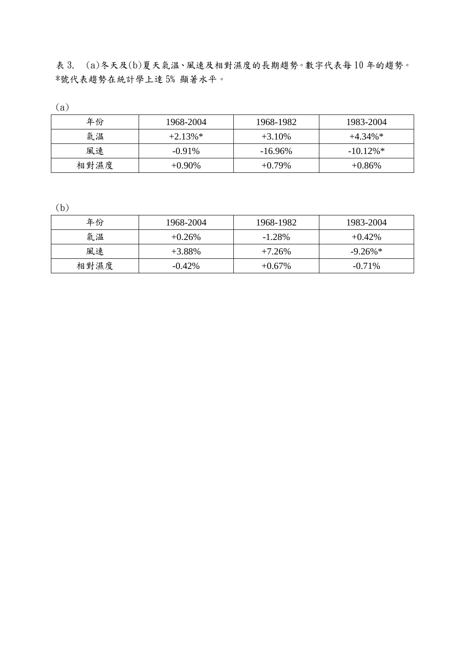表 3. (a)冬天及(b)夏天氣温、風速及相對濕度的長期趨勢。數字代表每 10 年的趨勢。 \*號代表趨勢在統計學上逹 5% 顯著水平。

(a)

| 年份   | 1968-2004  | 1968-1982  | 1983-2004   |
|------|------------|------------|-------------|
| 氣温   | $+2.13\%*$ | $+3.10%$   | $+4.34\%*$  |
| 風速   | $-0.91\%$  | $-16.96\%$ | $-10.12\%*$ |
| 相對濕度 | $+0.90\%$  | $+0.79\%$  | $+0.86\%$   |

(b)

| $\sim$ $ \sim$ |           |           |                        |
|----------------|-----------|-----------|------------------------|
| 年份             | 1968-2004 | 1968-1982 | 1983-2004              |
| 氣温             | $+0.26%$  | $-1.28%$  | $+0.42\%$              |
| 風速             | $+3.88\%$ | $+7.26\%$ | $-9.26\%$ <sup>*</sup> |
| 相對濕度           | $-0.42\%$ | $+0.67\%$ | $-0.71\%$              |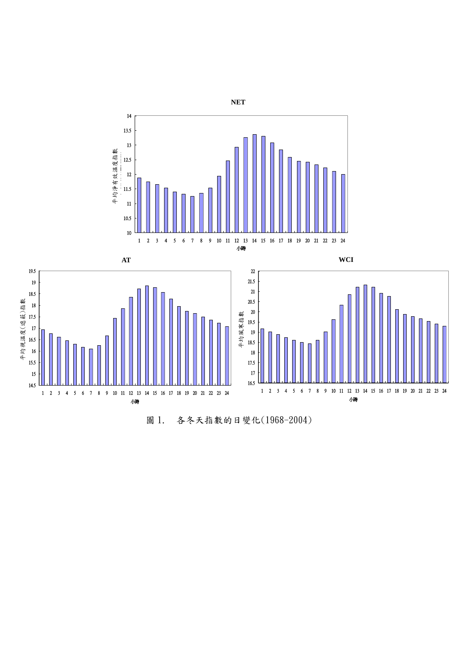

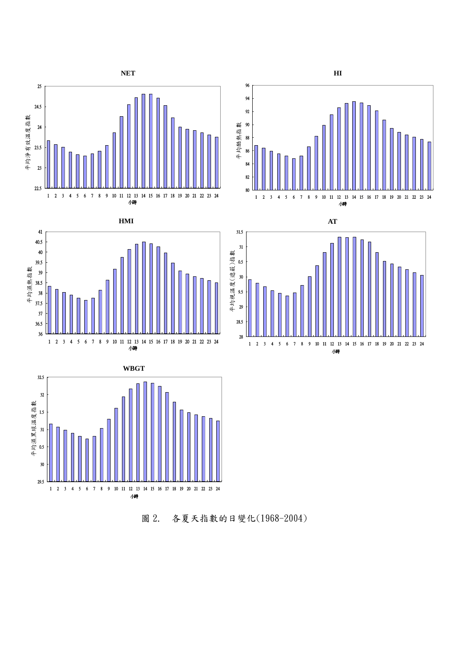



小時







圖 2. 各夏天指數的日變化(1968-2004)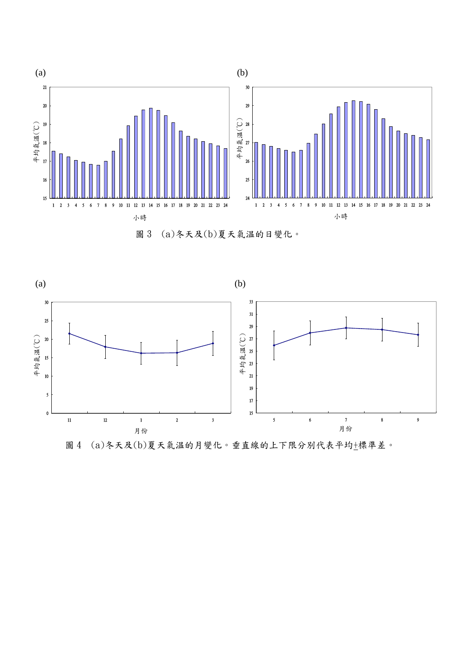

圖 3 (a)冬天及(b)夏天氣温的日變化。



圖 4 (a)冬天及(b)夏天氣温的月變化。垂直線的上下限分別代表平均+標準差。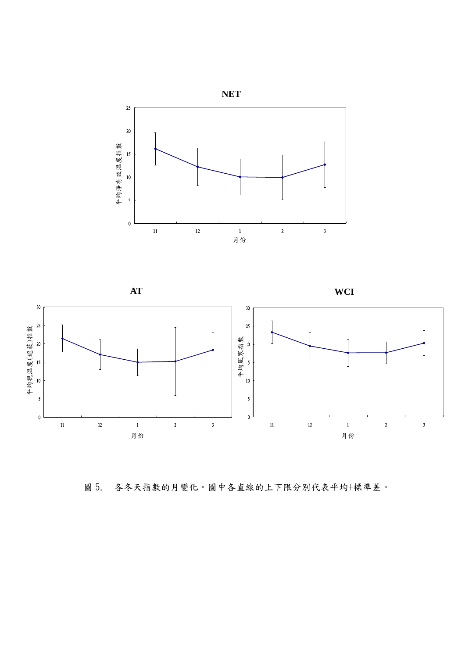



圖 5. 各冬天指數的月變化。圖中各直線的上下限分別代表平均+標準差。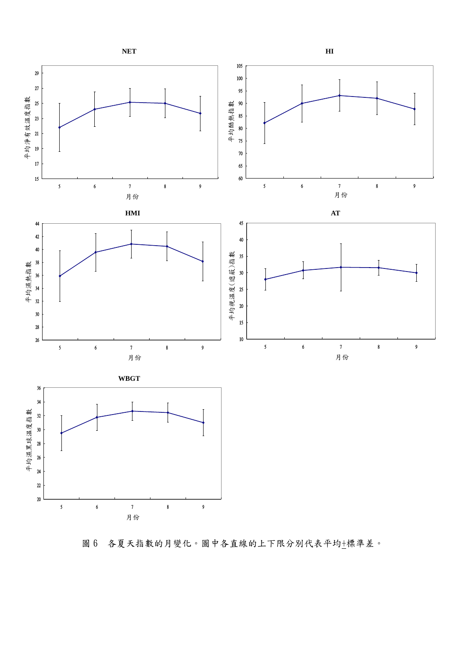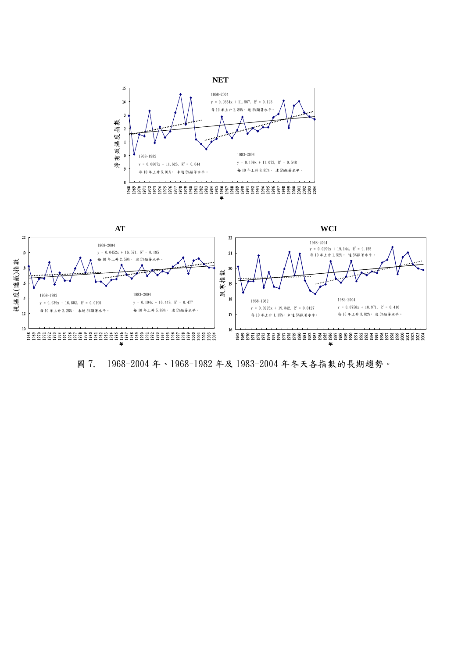

圖 7. 1968-2004 年、1968-1982 年及 1983-2004 年冬天各指數的長期趨勢。